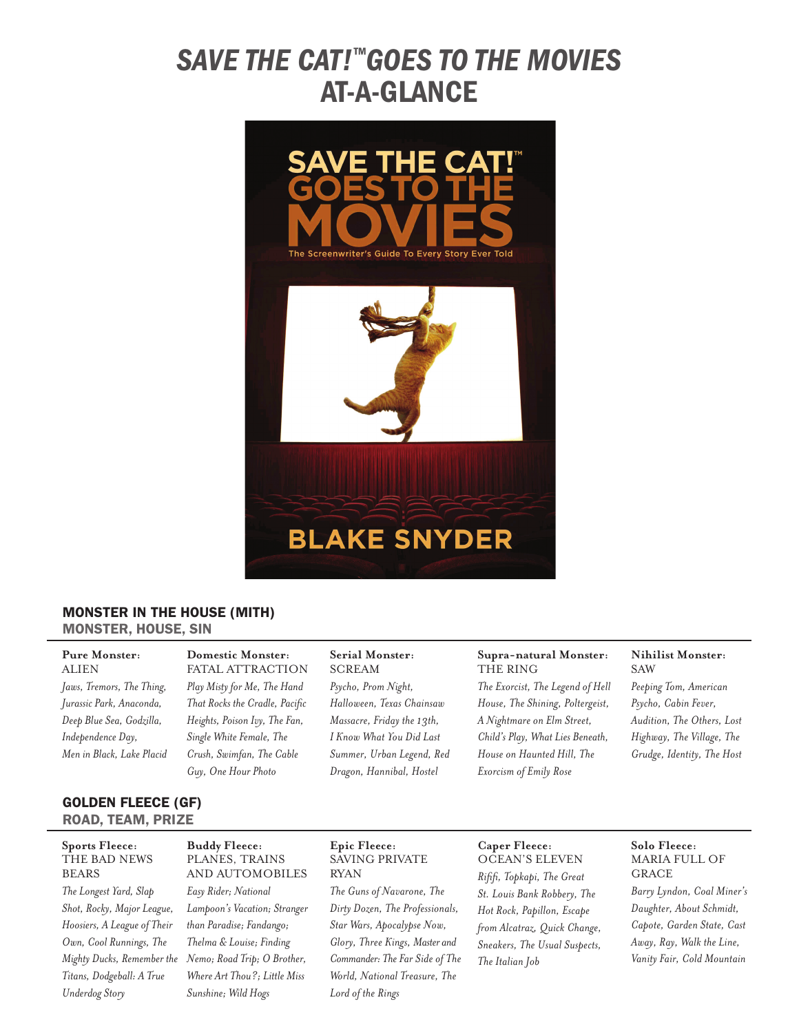# *SAVE THE CAT!™goes to the movies* **AT-A-GLANCE**



#### Monster In The House (MITH) Monster, House, Sin

# **Pure Monster: ALIEN** *Jaws, Tremors, The Thing,*

*Jurassic Park, Anaconda, Deep Blue Sea, Godzilla, Independence Day, Men in Black, Lake Placid* **Domestic Monster:** FATAL ATTRACTION *Play Misty for Me, The Hand That Rocks the Cradle, Pacific Heights, Poison Ivy, The Fan, Single White Female, The Crush, Swimfan, The Cable Guy, One Hour Photo*

# **Serial Monster:**

**SCREAM** *Psycho, Prom Night, Halloween, Texas Chainsaw Massacre, Friday the 13th, I Know What You Did Last Summer, Urban Legend, Red Dragon, Hannibal, Hostel*

#### **Supra-natural Monster:** The Ring

*The Exorcist, The Legend of Hell House, The Shining, Poltergeist, A Nightmare on Elm Street, Child's Play, What Lies Beneath, House on Haunted Hill, The Exorcism of Emily Rose* 

### **Nihilist Monster: SAW**

*Peeping Tom, American Psycho, Cabin Fever, Audition, The Others, Lost Highway, The Village, The Grudge, Identity, The Host*

# Golden Fleece (GF) Road, Team, Prize

#### **Sports Fleece:**  The Bad News **BEARS**

*The Longest Yard, Slap Shot, Rocky, Major League, Hoosiers, A League of Their Own, Cool Runnings, The Titans, Dodgeball: A True Underdog Story*

#### **Buddy Fleece:**  Planes, Trains and Automobiles

*Mighty Ducks, Remember the Nemo; Road Trip; O Brother, Easy Rider; National Lampoon's Vacation; Stranger than Paradise; Fandango; Thelma & Louise; Finding Where Art Thou?; Little Miss Sunshine; Wild Hogs*

#### **Epic Fleece:**  Saving Private Ryan

*The Guns of Navarone, The Dirty Dozen, The Professionals, Star Wars, Apocalypse Now, Glory, Three Kings, Master and Commander: The Far Side of The World, National Treasure, The Lord of the Rings*

# **Caper Fleece:**  Ocean's Eleven

*Rififi, Topkapi, The Great St. Louis Bank Robbery, The Hot Rock, Papillon, Escape from Alcatraz, Quick Change, Sneakers, The Usual Suspects, The Italian Job* 

#### **Solo Fleece:**  Maria Full of **GRACE**

*Barry Lyndon, Coal Miner's Daughter, About Schmidt, Capote, Garden State, Cast Away, Ray, Walk the Line, Vanity Fair, Cold Mountain*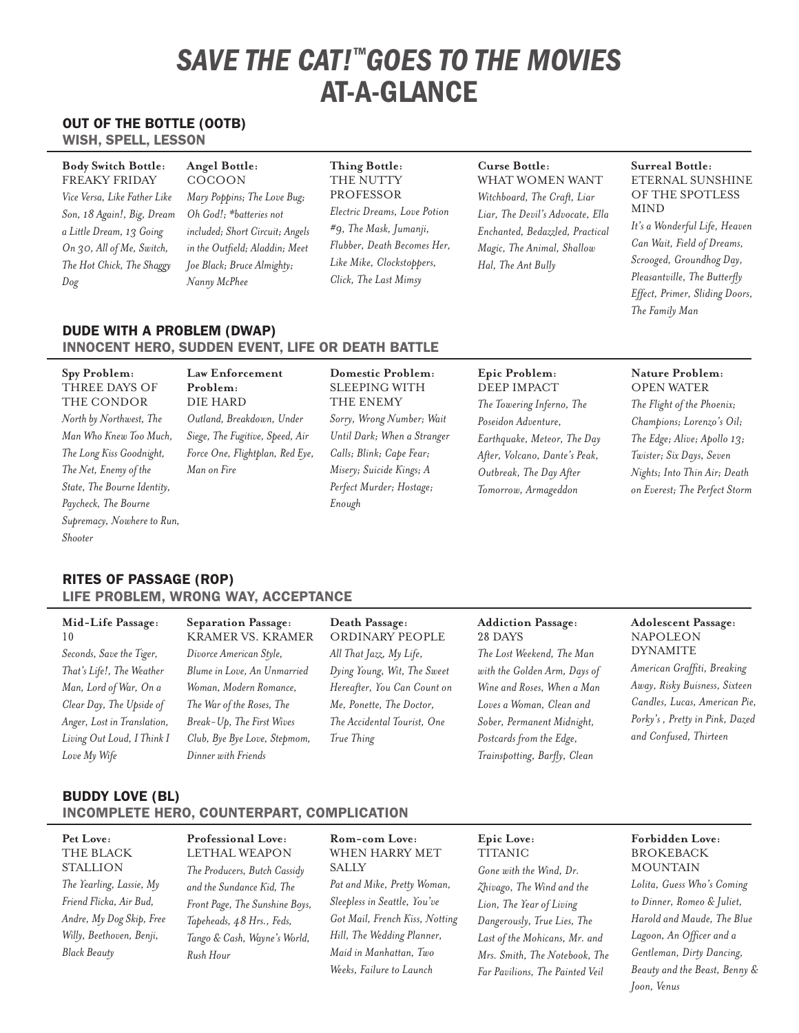# *SAVE THE CAT!™goes to the movies* **AT-A-GLANCE**

## Out of the Bottle (OOTB)

Wish, Spell, Lesson

| <b>Body Switch Bottle:</b><br><b>FREAKY FRIDAY</b><br>Vice Versa, Like Father Like<br>Son, 18 Again!, Big, Dream<br>a Little Dream, 13 Going<br>On 30, All of Me, Switch,<br>The Hot Chick, The Shaggy<br>Dog | Angel Bottle:<br>COCOON<br>Mary Poppins; The Love Bug;<br>Oh God!: *batteries not<br>included; Short Circuit; Angels<br>in the Outfield; Aladdin; Meet<br>Joe Black; Bruce Almighty;<br>Nanny McPhee | Thing Bottle:<br>THE NUTTY<br>PROFESSOR<br>Electric Dreams, Love Potion<br>#9, The Mask, Jumanji,<br>Flubber, Death Becomes Her,<br>Like Mike, Clockstoppers,<br>Click, The Last Mimsy | Curse Bottle:<br>WHAT WOMEN WANT<br>Witchboard, The Craft, Liar<br>Liar, The Devil's Advocate, Ella<br>Enchanted, Bedazzled, Practical<br>Magic, The Animal, Shallow<br>Hal, The Ant Bully | Surreal Bottle:<br>ETERNAL SUNSHINE<br>OF THE SPOTLESS<br><b>MIND</b><br>It's a Wonderful Life, Heaven<br>Can Wait, Field of Dreams,<br>Scrooged, Groundhog Day,<br>Pleasantville, The Butterfly<br>Effect, Primer, Sliding Doors,<br>The Family Man |
|---------------------------------------------------------------------------------------------------------------------------------------------------------------------------------------------------------------|------------------------------------------------------------------------------------------------------------------------------------------------------------------------------------------------------|----------------------------------------------------------------------------------------------------------------------------------------------------------------------------------------|--------------------------------------------------------------------------------------------------------------------------------------------------------------------------------------------|------------------------------------------------------------------------------------------------------------------------------------------------------------------------------------------------------------------------------------------------------|
|---------------------------------------------------------------------------------------------------------------------------------------------------------------------------------------------------------------|------------------------------------------------------------------------------------------------------------------------------------------------------------------------------------------------------|----------------------------------------------------------------------------------------------------------------------------------------------------------------------------------------|--------------------------------------------------------------------------------------------------------------------------------------------------------------------------------------------|------------------------------------------------------------------------------------------------------------------------------------------------------------------------------------------------------------------------------------------------------|

#### Dude with a Problem (DWAP) Innocent Hero, Sudden Event, Life or Death Battle

# Rites of Passage (ROP) Life Problem, Wrong Way, Acceptance

# **Mid-Life Passage:**  10

*Seconds, Save the Tiger, That's Life!, The Weather Man, Lord of War, On a Clear Day, The Upside of Anger, Lost in Translation, Living Out Loud, I Think I Love My Wife*

**Separation Passage:**  Kramer vs. Kramer *Divorce American Style, Blume in Love, An Unmarried Woman, Modern Romance, The War of the Roses, The Break-Up, The First Wives Club, Bye Bye Love, Stepmom, Dinner with Friends*

# **Death Passage:**

Ordinary People *All That Jazz, My Life, Dying Young, Wit, The Sweet Hereafter, You Can Count on Me, Ponette, The Doctor, The Accidental Tourist, One True Thing*

#### **Addiction Passage:**  28 Days

*The Lost Weekend, The Man with the Golden Arm, Days of Wine and Roses, When a Man Loves a Woman, Clean and Sober, Permanent Midnight, Postcards from the Edge, Trainspotting, Barfly, Clean*

#### **Adolescent Passage: NAPOLEON DYNAMITE**

*American Graffiti, Breaking Away, Risky Buisness, Sixteen Candles, Lucas, American Pie, Porky's , Pretty in Pink, Dazed and Confused, Thirteen*

### Buddy Love (BL) Incomplete Hero, Counterpart, Complication

## **Pet Love:**  The Black **STALLION** *The Yearling, Lassie, My Friend Flicka, Air Bud, Andre, My Dog Skip, Free Willy, Beethoven, Benji, Black Beauty*

**Professional Love:**  Lethal Weapon *The Producers, Butch Cassidy and the Sundance Kid, The Front Page, The Sunshine Boys, Tapeheads, 48 Hrs., Feds, Tango & Cash, Wayne's World, Rush Hour*

# **Rom-com Love:**  When Harry Met **SALLY** *Pat and Mike, Pretty Woman, Sleepless in Seattle, You've Got Mail, French Kiss, Notting*

*Hill, The Wedding Planner, Maid in Manhattan, Two Weeks, Failure to Launch*

**TITANIC** *Gone with the Wind, Dr. Zhivago, The Wind and the Lion, The Year of Living Dangerously, True Lies, The Last of the Mohicans, Mr. and Mrs. Smith, The Notebook, The Far Pavilions, The Painted Veil*

**Epic Love:** 

#### **Forbidden Love:**  Brokeback **MOUNTAIN**

*Lolita, Guess Who's Coming to Dinner, Romeo & Juliet, Harold and Maude, The Blue Lagoon, An Officer and a Gentleman, Dirty Dancing, Beauty and the Beast, Benny & Joon, Venus*